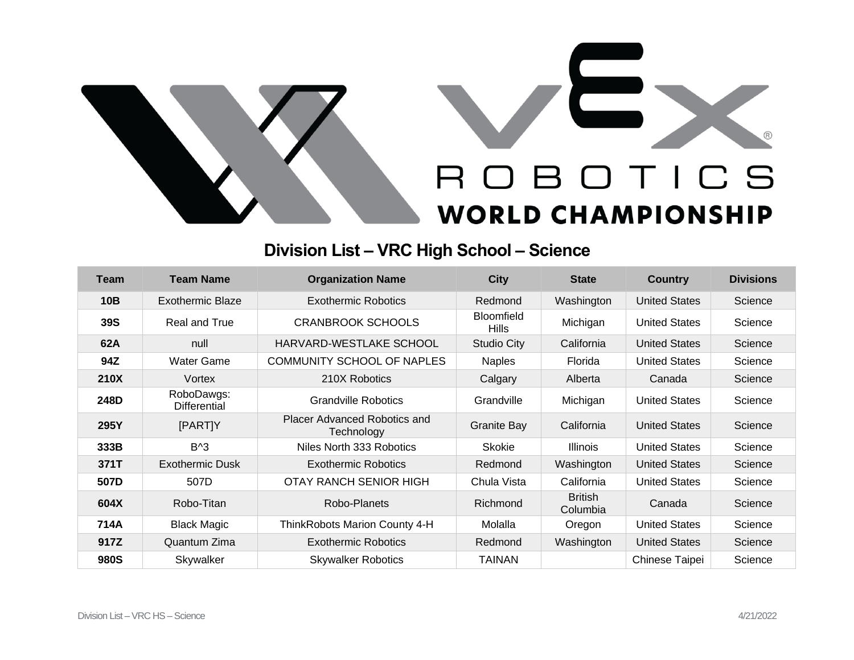



## **Division List – VRC High School – Science**

| <b>Team</b> | <b>Team Name</b>           | <b>Organization Name</b>                   | <b>City</b>                       | <b>State</b>               | <b>Country</b>       | <b>Divisions</b> |
|-------------|----------------------------|--------------------------------------------|-----------------------------------|----------------------------|----------------------|------------------|
| 10B         | Exothermic Blaze           | <b>Exothermic Robotics</b>                 | Redmond                           | Washington                 | <b>United States</b> | Science          |
| <b>39S</b>  | Real and True              | <b>CRANBROOK SCHOOLS</b>                   | <b>Bloomfield</b><br><b>Hills</b> | Michigan                   | <b>United States</b> | Science          |
| 62A         | null                       | HARVARD-WESTLAKE SCHOOL                    | <b>Studio City</b>                | California                 | <b>United States</b> | Science          |
| 94Z         | <b>Water Game</b>          | COMMUNITY SCHOOL OF NAPLES                 | <b>Naples</b>                     | Florida                    | <b>United States</b> | Science          |
| 210X        | Vortex                     | 210X Robotics                              | Calgary                           | Alberta                    | Canada               | Science          |
| 248D        | RoboDawgs:<br>Differential | <b>Grandville Robotics</b>                 | Grandville                        | Michigan                   | <b>United States</b> | Science          |
| 295Y        | [PART]Y                    | Placer Advanced Robotics and<br>Technology | <b>Granite Bay</b>                | California                 | <b>United States</b> | Science          |
| 333B        | $B^{\wedge}3$              | Niles North 333 Robotics                   | <b>Skokie</b>                     | <b>Illinois</b>            | <b>United States</b> | Science          |
| 371T        | <b>Exothermic Dusk</b>     | <b>Exothermic Robotics</b>                 | Redmond                           | Washington                 | <b>United States</b> | Science          |
| 507D        | 507D                       | OTAY RANCH SENIOR HIGH                     | Chula Vista                       | California                 | <b>United States</b> | Science          |
| 604X        | Robo-Titan                 | Robo-Planets                               | Richmond                          | <b>British</b><br>Columbia | Canada               | Science          |
| 714A        | <b>Black Magic</b>         | ThinkRobots Marion County 4-H              | Molalla                           | Oregon                     | <b>United States</b> | Science          |
| 917Z        | Quantum Zima               | <b>Exothermic Robotics</b>                 | Redmond                           | Washington                 | <b>United States</b> | Science          |
| 980S        | Skywalker                  | <b>Skywalker Robotics</b>                  | <b>TAINAN</b>                     |                            | Chinese Taipei       | Science          |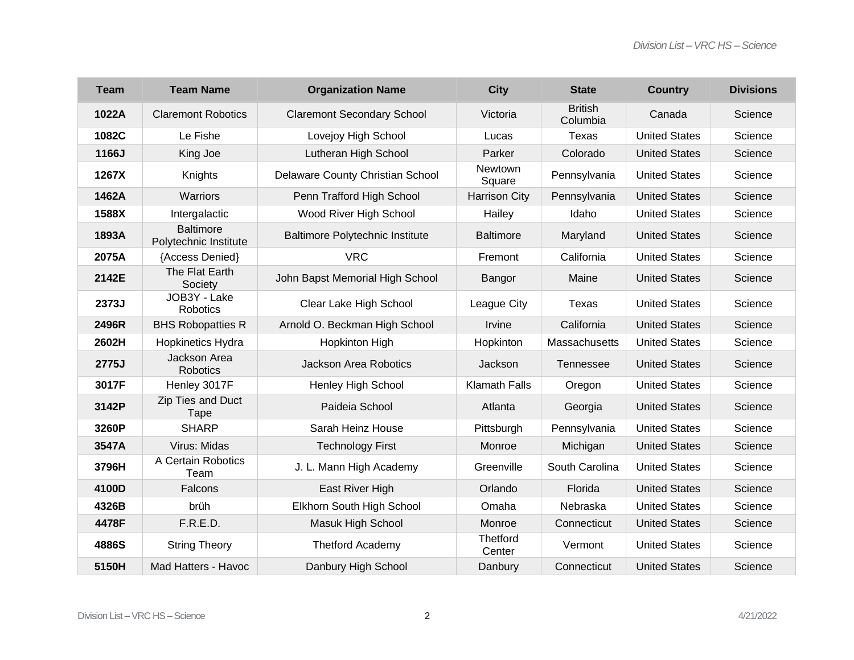| <b>Team</b> | <b>Team Name</b>                          | <b>Organization Name</b>               | <b>City</b>          | <b>State</b>               | <b>Country</b>       | <b>Divisions</b> |
|-------------|-------------------------------------------|----------------------------------------|----------------------|----------------------------|----------------------|------------------|
| 1022A       | <b>Claremont Robotics</b>                 | <b>Claremont Secondary School</b>      | Victoria             | <b>British</b><br>Columbia | Canada               | Science          |
| 1082C       | Le Fishe                                  | Lovejoy High School                    | Lucas                | Texas                      | <b>United States</b> | Science          |
| 1166J       | King Joe                                  | Lutheran High School                   | Parker               | Colorado                   | <b>United States</b> | Science          |
| 1267X       | Knights                                   | Delaware County Christian School       | Newtown<br>Square    | Pennsylvania               | <b>United States</b> | Science          |
| 1462A       | Warriors                                  | Penn Trafford High School              | <b>Harrison City</b> | Pennsylvania               | <b>United States</b> | Science          |
| 1588X       | Intergalactic                             | Wood River High School                 | Hailey               | Idaho                      | <b>United States</b> | Science          |
| 1893A       | <b>Baltimore</b><br>Polytechnic Institute | <b>Baltimore Polytechnic Institute</b> | <b>Baltimore</b>     | Maryland                   | <b>United States</b> | Science          |
| 2075A       | {Access Denied}                           | <b>VRC</b>                             | Fremont              | California                 | <b>United States</b> | Science          |
| 2142E       | The Flat Earth<br>Society                 | John Bapst Memorial High School        | Bangor               | Maine                      | <b>United States</b> | Science          |
| 2373J       | JOB3Y - Lake<br>Robotics                  | Clear Lake High School                 | League City          | Texas                      | <b>United States</b> | Science          |
| 2496R       | <b>BHS Robopatties R</b>                  | Arnold O. Beckman High School          | Irvine               | California                 | <b>United States</b> | Science          |
| 2602H       | Hopkinetics Hydra                         | <b>Hopkinton High</b>                  | Hopkinton            | Massachusetts              | <b>United States</b> | Science          |
| 2775J       | Jackson Area<br><b>Robotics</b>           | Jackson Area Robotics                  | Jackson              | <b>Tennessee</b>           | <b>United States</b> | Science          |
| 3017F       | Henley 3017F                              | <b>Henley High School</b>              | <b>Klamath Falls</b> | Oregon                     | <b>United States</b> | Science          |
| 3142P       | Zip Ties and Duct<br>Tape                 | Paideia School                         | Atlanta              | Georgia                    | <b>United States</b> | Science          |
| 3260P       | <b>SHARP</b>                              | Sarah Heinz House                      | Pittsburgh           | Pennsylvania               | <b>United States</b> | Science          |
| 3547A       | Virus: Midas                              | <b>Technology First</b>                | Monroe               | Michigan                   | <b>United States</b> | Science          |
| 3796H       | A Certain Robotics<br>Team                | J. L. Mann High Academy                | Greenville           | South Carolina             | <b>United States</b> | Science          |
| 4100D       | Falcons                                   | East River High                        | Orlando              | Florida                    | <b>United States</b> | Science          |
| 4326B       | brüh                                      | Elkhorn South High School              | Omaha                | Nebraska                   | <b>United States</b> | Science          |
| 4478F       | F.R.E.D.                                  | Masuk High School                      | Monroe               | Connecticut                | <b>United States</b> | Science          |
| 4886S       | <b>String Theory</b>                      | <b>Thetford Academy</b>                | Thetford<br>Center   | Vermont                    | <b>United States</b> | Science          |
| 5150H       | Mad Hatters - Havoc                       | Danbury High School                    | Danbury              | Connecticut                | <b>United States</b> | Science          |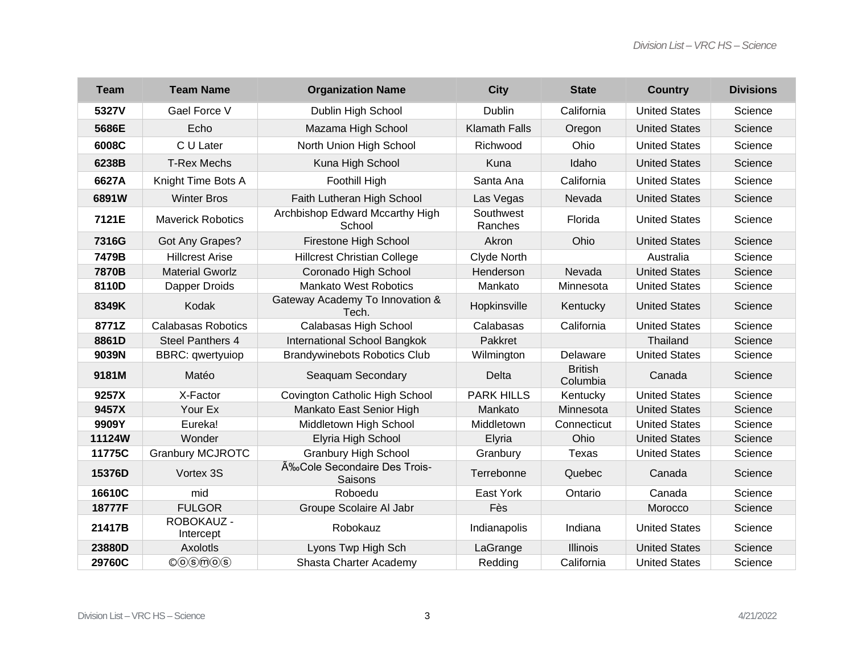| <b>Team</b> | <b>Team Name</b>                                              | <b>Organization Name</b>                  | <b>City</b>          | <b>State</b>               | <b>Country</b>       | <b>Divisions</b> |
|-------------|---------------------------------------------------------------|-------------------------------------------|----------------------|----------------------------|----------------------|------------------|
| 5327V       | Gael Force V                                                  | Dublin High School                        | Dublin               | California                 | <b>United States</b> | Science          |
| 5686E       | Echo                                                          | Mazama High School                        | <b>Klamath Falls</b> | Oregon                     | <b>United States</b> | Science          |
| 6008C       | C U Later                                                     | North Union High School                   | Richwood             | Ohio                       | <b>United States</b> | Science          |
| 6238B       | <b>T-Rex Mechs</b>                                            | Kuna High School                          | Kuna                 | Idaho                      | <b>United States</b> | Science          |
| 6627A       | Knight Time Bots A                                            | Foothill High                             | Santa Ana            | California                 | <b>United States</b> | Science          |
| 6891W       | <b>Winter Bros</b>                                            | Faith Lutheran High School                | Las Vegas            | Nevada                     | <b>United States</b> | Science          |
| 7121E       | <b>Maverick Robotics</b>                                      | Archbishop Edward Mccarthy High<br>School | Southwest<br>Ranches | Florida                    | <b>United States</b> | Science          |
| 7316G       | Got Any Grapes?                                               | Firestone High School                     | Akron                | Ohio                       | <b>United States</b> | Science          |
| 7479B       | <b>Hillcrest Arise</b>                                        | <b>Hillcrest Christian College</b>        | Clyde North          |                            | Australia            | Science          |
| 7870B       | <b>Material Gworlz</b>                                        | Coronado High School                      | Henderson            | Nevada                     | <b>United States</b> | Science          |
| 8110D       | Dapper Droids                                                 | <b>Mankato West Robotics</b>              | Mankato              | Minnesota                  | <b>United States</b> | Science          |
| 8349K       | Kodak                                                         | Gateway Academy To Innovation &<br>Tech.  | Hopkinsville         | Kentucky                   | <b>United States</b> | Science          |
| 8771Z       | <b>Calabasas Robotics</b>                                     | Calabasas High School                     | Calabasas            | California                 | <b>United States</b> | Science          |
| 8861D       | Steel Panthers 4                                              | International School Bangkok              | Pakkret              |                            | Thailand             | Science          |
| 9039N       | <b>BBRC:</b> qwertyuiop                                       | <b>Brandywinebots Robotics Club</b>       | Wilmington           | Delaware                   | <b>United States</b> | Science          |
| 9181M       | Matéo                                                         | Seaquam Secondary                         | Delta                | <b>British</b><br>Columbia | Canada               | Science          |
| 9257X       | X-Factor                                                      | Covington Catholic High School            | <b>PARK HILLS</b>    | Kentucky                   | <b>United States</b> | Science          |
| 9457X       | Your Ex                                                       | Mankato East Senior High                  | Mankato              | Minnesota                  | <b>United States</b> | Science          |
| 9909Y       | Eureka!                                                       | Middletown High School                    | Middletown           | Connecticut                | <b>United States</b> | Science          |
| 11124W      | Wonder                                                        | Elyria High School                        | Elyria               | Ohio                       | <b>United States</b> | Science          |
| 11775C      | <b>Granbury MCJROTC</b>                                       | <b>Granbury High School</b>               | Granbury             | Texas                      | <b>United States</b> | Science          |
| 15376D      | Vortex 3S                                                     | ÉCole Secondaire Des Trois-<br>Saisons    | Terrebonne           | Quebec                     | Canada               | Science          |
| 16610C      | mid                                                           | Roboedu                                   | East York            | Ontario                    | Canada               | Science          |
| 18777F      | <b>FULGOR</b>                                                 | Groupe Scolaire Al Jabr                   | Fès                  |                            | Morocco              | Science          |
| 21417B      | ROBOKAUZ -<br>Intercept                                       | Robokauz                                  | Indianapolis         | Indiana                    | <b>United States</b> | Science          |
| 23880D      | Axolotls                                                      | Lyons Twp High Sch                        | LaGrange             | <b>Illinois</b>            | <b>United States</b> | Science          |
| 29760C      | $\mathcal{O}(\widehat{S})\widehat{m}(\widehat{O})\widehat{S}$ | Shasta Charter Academy                    | Redding              | California                 | <b>United States</b> | Science          |